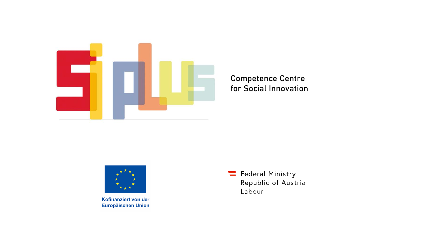

#### Competence Centre for Social Innovation



Kofinanziert von der **Europäischen Union**  Federal Ministry Republic of Austria Labour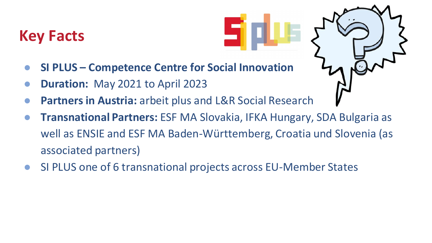## **Key Facts**

- **SI PLUS – Competence Centre for Social Innovation**
- **Duration:** May 2021 to April 2023
- Partners in Austria: arbeit plus and L&R Social Research
- **Transnational Partners:** ESF MA Slovakia, IFKA Hungary, SDA Bulgaria as well as ENSIE and ESF MA Baden-Württemberg, Croatia und Slovenia (as associated partners)
- SI PLUS one of 6 transnational projects across EU-Member States

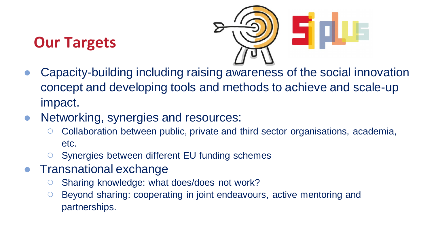# **Our Targets**



- Capacity-building including raising awareness of the social innovation concept and developing tools and methods to achieve and scale-up impact.
- Networking, synergies and resources:
	- Collaboration between public, private and third sector organisations, academia, etc.
	- Synergies between different EU funding schemes
- Transnational exchange
	- Sharing knowledge: what does/does not work?
	- Beyond sharing: cooperating in joint endeavours, active mentoring and partnerships.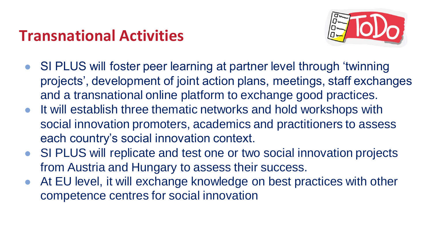## **Transnational Activities**



- SI PLUS will foster peer learning at partner level through 'twinning projects', development of joint action plans, meetings, staff exchanges and a transnational online platform to exchange good practices.
- It will establish three thematic networks and hold workshops with social innovation promoters, academics and practitioners to assess each country's social innovation context.
- SI PLUS will replicate and test one or two social innovation projects from Austria and Hungary to assess their success.
- At EU level, it will exchange knowledge on best practices with other competence centres for social innovation